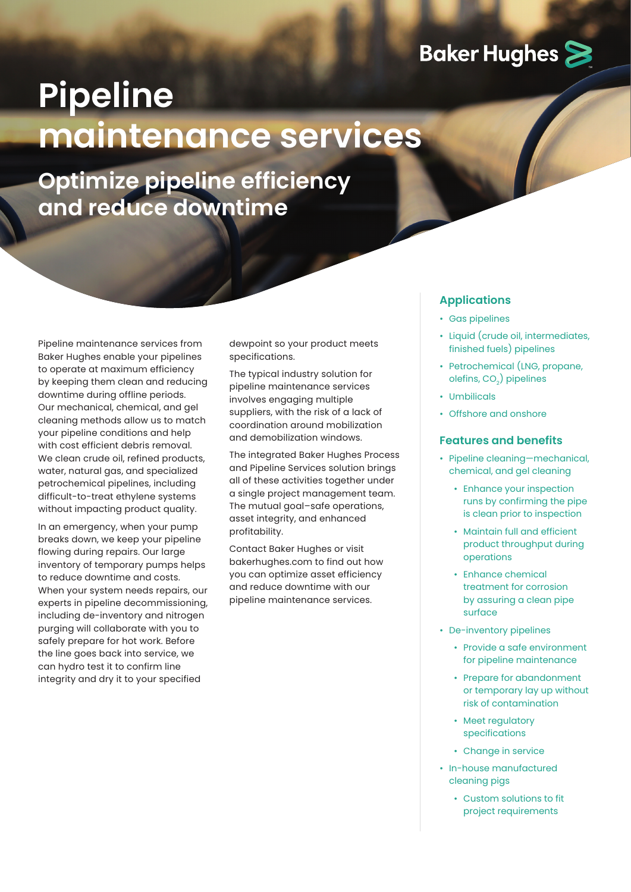## **Baker Hughes >**

## **Pipeline maintenance services**

**Optimize pipeline efficiency and reduce downtime**

Pipeline maintenance services from Baker Hughes enable your pipelines to operate at maximum efficiency by keeping them clean and reducing downtime during offline periods. Our mechanical, chemical, and gel cleaning methods allow us to match your pipeline conditions and help with cost efficient debris removal. We clean crude oil, refined products, water, natural gas, and specialized petrochemical pipelines, including difficult-to-treat ethylene systems without impacting product quality.

In an emergency, when your pump breaks down, we keep your pipeline flowing during repairs. Our large inventory of temporary pumps helps to reduce downtime and costs. When your system needs repairs, our experts in pipeline decommissioning, including de-inventory and nitrogen purging will collaborate with you to safely prepare for hot work. Before the line goes back into service, we can hydro test it to confirm line integrity and dry it to your specified

dewpoint so your product meets specifications.

The typical industry solution for pipeline maintenance services involves engaging multiple suppliers, with the risk of a lack of coordination around mobilization and demobilization windows.

The integrated Baker Hughes Process and Pipeline Services solution brings all of these activities together under a single project management team. The mutual goal–safe operations, asset integrity, and enhanced profitability.

Contact Baker Hughes or visit bakerhughes.com to find out how you can optimize asset efficiency and reduce downtime with our pipeline maintenance services.

## **Applications**

- Gas pipelines
- Liquid (crude oil, intermediates, finished fuels) pipelines
- Petrochemical (LNG, propane, olefins, CO<sub>2</sub>) pipelines
- Umbilicals
- Offshore and onshore

## **Features and benefits**

- Pipeline cleaning—mechanical, chemical, and gel cleaning
	- Enhance your inspection runs by confirming the pipe is clean prior to inspection
	- Maintain full and efficient product throughput during operations
	- Enhance chemical treatment for corrosion by assuring a clean pipe surface
- De-inventory pipelines
	- Provide a safe environment for pipeline maintenance
	- Prepare for abandonment or temporary lay up without risk of contamination
	- Meet regulatory specifications
	- Change in service
- In-house manufactured cleaning pigs
	- Custom solutions to fit project requirements